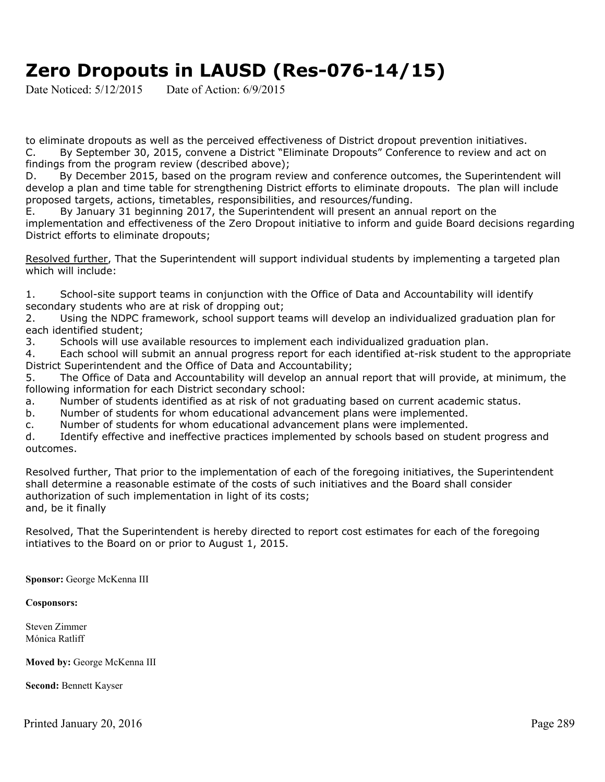## **Zero Dropouts in LAUSD (Res-076-14/15)**

Date Noticed:  $5/12/2015$  Date of Action:  $6/9/2015$ 

to eliminate dropouts as well as the perceived effectiveness of District dropout prevention initiatives. C. By September 30, 2015, convene a District "Eliminate Dropouts" Conference to review and act on findings from the program review (described above);

D. By December 2015, based on the program review and conference outcomes, the Superintendent will develop a plan and time table for strengthening District efforts to eliminate dropouts. The plan will include proposed targets, actions, timetables, responsibilities, and resources/funding.

E. By January 31 beginning 2017, the Superintendent will present an annual report on the implementation and effectiveness of the Zero Dropout initiative to inform and guide Board decisions regarding District efforts to eliminate dropouts;

Resolved further, That the Superintendent will support individual students by implementing a targeted plan which will include:

1. School-site support teams in conjunction with the Office of Data and Accountability will identify secondary students who are at risk of dropping out;

2. Using the NDPC framework, school support teams will develop an individualized graduation plan for each identified student;

3. Schools will use available resources to implement each individualized graduation plan.

4. Each school will submit an annual progress report for each identified at-risk student to the appropriate District Superintendent and the Office of Data and Accountability;

5. The Office of Data and Accountability will develop an annual report that will provide, at minimum, the following information for each District secondary school:

a. Number of students identified as at risk of not graduating based on current academic status.

b. Number of students for whom educational advancement plans were implemented.

c. Number of students for whom educational advancement plans were implemented.

d. Identify effective and ineffective practices implemented by schools based on student progress and outcomes.

Resolved further, That prior to the implementation of each of the foregoing initiatives, the Superintendent shall determine a reasonable estimate of the costs of such initiatives and the Board shall consider authorization of such implementation in light of its costs; and, be it finally

Resolved, That the Superintendent is hereby directed to report cost estimates for each of the foregoing intiatives to the Board on or prior to August 1, 2015.

**Sponsor:** George McKenna III

## **Cosponsors:**

Steven Zimmer Mónica Ratliff

**Moved by:** George McKenna III

**Second:** Bennett Kayser

Printed January 20, 2016 Page 289